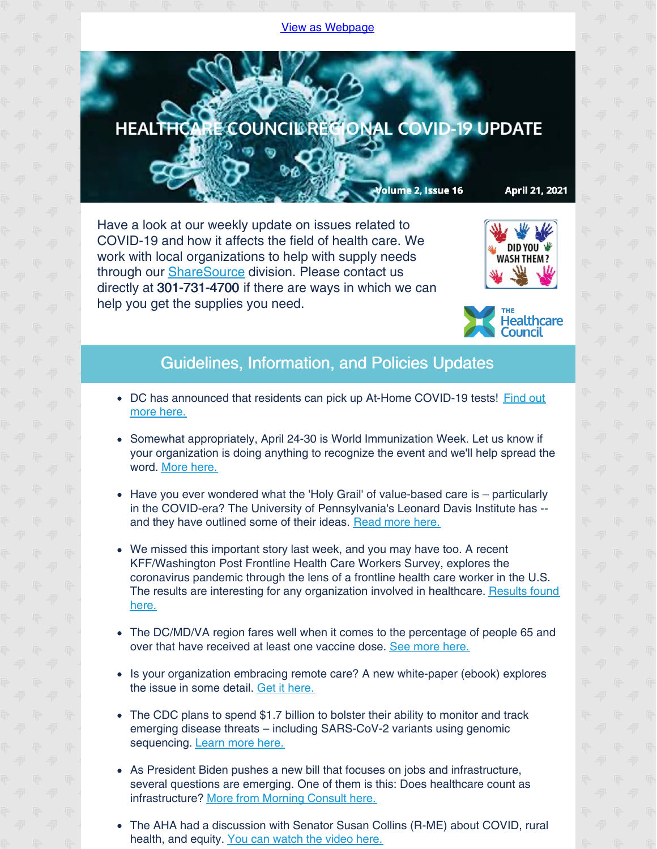## View as [Webpage](http://campaign.r20.constantcontact.com/render?ca=c6eb8924-53e3-4ec8-ac98-d1d0619e5c1c&preview=true&m=1135298390468&id=preview)



Have a look at our weekly update on issues related to COVID-19 and how it affects the field of health care. We work with local organizations to help with supply needs through our [ShareSource](https://www.share-source.org/) division. Please contact us directly at 301-731-4700 if there are ways in which we can help you get the supplies you need.





## Guidelines, Information, and Policies Updates

- DC has [announced](https://coronavirus.dc.gov/testyourself) that residents can pick up At-Home COVID-19 tests! Find out more here.
- Somewhat appropriately, April 24-30 is World Immunization Week. Let us know if your organization is doing anything to recognize the event and we'll help spread the word. [More](https://www.who.int/news-room/events/detail/2021/04/24/default-calendar/world-immunization-week-2021) here.
- Have you ever wondered what the 'Holy Grail' of value-based care is particularly in the COVID-era? The University of Pennsylvania's Leonard Davis Institute has - and they have outlined some of their ideas. [Read](https://www.managedhealthcareexecutive.com/view/pursuing-the-holy-grail-of-value-based-care-penn-s-ldi-says-head-this-way-) more here.
- We missed this important story last week, and you may have too. A recent KFF/Washington Post Frontline Health Care Workers Survey, explores the coronavirus pandemic through the lens of a frontline health care worker in the U.S. The results are interesting for any [organization](https://www.kff.org/report-section/kff-the-washington-post-frontline-health-care-workers-survey-toll-of-the-pandemic/) involved in healthcare. Results found here.
- The DC/MD/VA region fares well when it comes to the percentage of people 65 and over that have received at least one vaccine dose. See [more](https://www.axios.com/seniors-coronavirus-vaccination-america-b8565d6c-b1d1-4a6d-8bd0-d82a22bca814.html?mkt_tok=ODUwLVRBQS01MTEAAAF8jkLwKtnYbPI8GPt55qRYSXM-ZQgrHNdrlu9xTNRuRNiTZib4zzX6-xLaHMd8aLiZvEg3I5Lh90cptatRd3L2gxj9pKoRpNgBkLz-skymJjpl) here.
- Is your organization embracing remote care? A new white-paper (ebook) explores the issue in some detail. Get it [here.](https://cloud.email.medicaleconomics.com/20-minutes-required-to-bill-services-CPT-codes-MHE)
- The CDC plans to spend \$1.7 billion to bolster their ability to monitor and track emerging disease threats – including SARS-CoV-2 variants using genomic sequencing. [Learn](https://www.hpnonline.com/infection-prevention/crisis-planning-outbreak-response/article/21219080/cdc-to-invest-17-billion-on-additional-abilities-to-defeat-viral-threats?utm_source=HPN+Daily+Newsletter&utm_medium=email&utm_campaign=CPS210416096&o_eid=8887J6354667A2S&rdx.ident=%5Bobject+Object%5D&oly_enc_id=8887J6354667A2S) more here.
- As President Biden pushes a new bill that focuses on jobs and infrastructure, several questions are emerging. One of them is this: Does healthcare count as infrastructure? More from [Morning](https://morningconsult.com/2021/04/14/infrastructure-definition-corporate-taxes-polling/?utm_source=newsletter&utm_medium=email_newsletter&utm_campaign=feature_story&utm_content=Williams_Health_1_041421&mkt_tok=ODUwLVRBQS01MTEAAAF8b1fnkqF0vXVqbrNZBNIBKCJDE0lcQYNf13jZ48UeRs7o1ectG27se54fqocTWRyHBUOmYXBaU59URb-F_rx0_75kHdI0AfxmU1mu0CzBTLAU) Consult here.
- The AHA had a discussion with Senator Susan Collins (R-ME) about COVID, rural health, and equity. You can [watch](https://contentsharing.net/actions/email_web_version.cfm?ep=Bdhtp-zVuqFkgQiV6-lxty0f-nrLBJWzuTngPvD-5dXqKMKk-9Yub_l-LjFPVixY-uNWR7GEn-fAwkrpKqzIBUFpPCPM4A2xCroCCr1amI0z1hMl5NlL3QwsrxLf8kFt) the video here.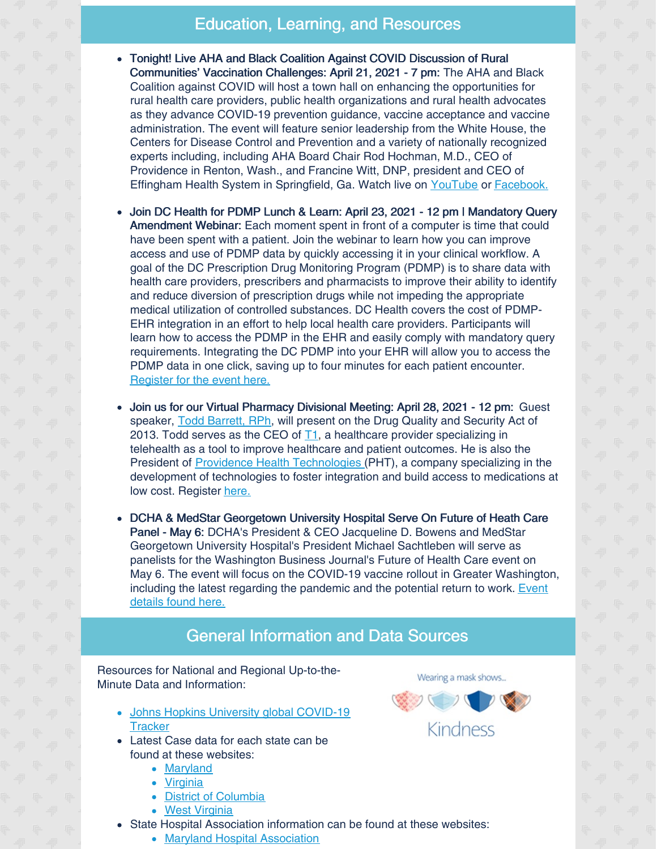## Education, Learning, and Resources

- Tonight! Live AHA and Black Coalition Against COVID Discussion of Rural Communities' Vaccination Challenges: April 21, 2021 - 7 pm: The AHA and Black Coalition against COVID will host a town hall on enhancing the opportunities for rural health care providers, public health organizations and rural health advocates as they advance COVID-19 prevention guidance, vaccine acceptance and vaccine administration. The event will feature senior leadership from the White House, the Centers for Disease Control and Prevention and a variety of nationally recognized experts including, including AHA Board Chair Rod Hochman, M.D., CEO of Providence in Renton, Wash., and Francine Witt, DNP, president and CEO of Effingham Health System in Springfield, Ga. Watch live on [YouTube](https://www.youtube.com/channel/UC9b0NPhd14GZK_xPitUoehA) or [Facebook.](https://www.facebook.com/BlackDoctor.org/)
- Join DC Health for PDMP Lunch & Learn: April 23, 2021 12 pm | Mandatory Query Amendment Webinar: Each moment spent in front of a computer is time that could have been spent with a patient. Join the webinar to learn how you can improve access and use of PDMP data by quickly accessing it in your clinical workflow. A goal of the DC Prescription Drug Monitoring Program (PDMP) is to share data with health care providers, prescribers and pharmacists to improve their ability to identify and reduce diversion of prescription drugs while not impeding the appropriate medical utilization of controlled substances. DC Health covers the cost of PDMP-EHR integration in an effort to help local health care providers. Participants will learn how to access the PDMP in the EHR and easily comply with mandatory query requirements. Integrating the DC PDMP into your EHR will allow you to access the PDMP data in one click, saving up to four minutes for each patient encounter. [Register](https://dcnet.webex.com/webappng/sites/dcnet/meeting/info/60593ac6d7b24e14a5302103bfd4d3cd?isPopupRegisterView=true) for the event here.
- Join us for our Virtual Pharmacy Divisional Meeting: April 28, 2021 12 pm: Guest speaker, Todd [Barrett,](mailto:todd.barrett@phthealth.com) RPh, will present on the Drug Quality and Security Act of 2013. Todd serves as the CEO of [T1](https://t1telehealth.com/), a healthcare provider specializing in telehealth as a tool to improve healthcare and patient outcomes. He is also the President of Providence Health [Technologies](https://phthealth.com/) (PHT), a company specializing in the development of technologies to foster integration and build access to medications at low cost. Register [here.](https://us02web.zoom.us/meeting/register/tZIsceytqD4jG9Vky6bnEAInWch9_pyBZJaK)
- DCHA & MedStar Georgetown University Hospital Serve On Future of Heath Care Panel - May 6: DCHA's President & CEO Jacqueline D. Bowens and MedStar Georgetown University Hospital's President Michael Sachtleben will serve as panelists for the Washington Business Journal's Future of Health Care event on May 6. The event will focus on the COVID-19 vaccine rollout in Greater Washington, including the latest regarding the [pandemic](https://www.bizjournals.com/washington/event/166124/2021/future-of-health-care) and the potential return to work. Event details found here.

## General Information and Data Sources

Resources for National and Regional Up-to-the-Minute Data and Information:

- Johns Hopkins University global [COVID-19](https://gisanddata.maps.arcgis.com/apps/opsdashboard/index.html#/bda7594740fd40299423467b48e9ecf6) **Tracker**
- Latest Case data for each state can be found at these websites:
	- [Maryland](https://coronavirus.maryland.gov)
	- [Virginia](https://www.vdh.virginia.gov/coronavirus/)
	- District of [Columbia](https://coronavirus.dc.gov)
	- West [Virginia](https://dhhr.wv.gov/COVID-19/Pages/default.aspx)
- State Hospital Association information can be found at these websites:
	- Maryland Hospital [Association](https://www.mhaonline.org/resources/coronavirus)